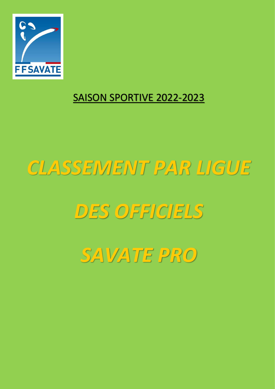

## SAISON SPORTIVE 2022-2023

## *CLASSEMENT PAR LIGUE*

## *DES OFFICIELS*

*SAVATE PRO*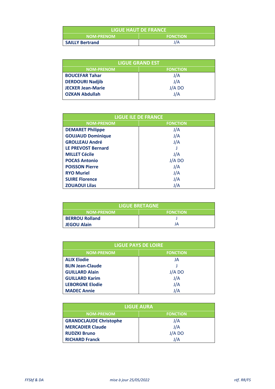| <b>LIGUE HAUT DE FRANCE</b> |                 |
|-----------------------------|-----------------|
| <b>NOM-PRENOM</b>           | <b>FONCTION</b> |
| <b>SAILLY Bertrand</b>      | J/A             |

| <b>LIGUE GRAND EST</b>   |                 |  |
|--------------------------|-----------------|--|
| <b>NOM-PRENOM</b>        | <b>FONCTION</b> |  |
| <b>BOUCEFAR Tahar</b>    | J/A             |  |
| <b>DERDOURI Nadjib</b>   | J/A             |  |
| <b>JECKER Jean-Marie</b> | J/A DO          |  |
| <b>OZKAN Abdullah</b>    | J/A             |  |

| <b>LIGUE ILE DE FRANCE</b> |                 |
|----------------------------|-----------------|
| <b>NOM-PRENOM</b>          | <b>FONCTION</b> |
| <b>DEMARET Philippe</b>    | J/A             |
| <b>GOUJAUD Dominique</b>   | J/A             |
| <b>GROLLEAU André</b>      | J/A             |
| <b>LE PREVOST Bernard</b>  |                 |
| <b>MILLET Cécile</b>       | J/A             |
| <b>POCAS Antonio</b>       | J/A DO          |
| <b>POISSON Pierre</b>      | J/A             |
| <b>RYO Muriel</b>          | J/A             |
| <b>SUIRE Florence</b>      | J/A             |
| <b>ZOUAOUI Lilas</b>       | J/A             |

| <b>LIGUE BRETAGNE</b> |                 |
|-----------------------|-----------------|
| <b>NOM-PRENOM</b>     | <b>FONCTION</b> |
| <b>BERROU Rolland</b> |                 |
| <b>JEGOU Alain</b>    | JA              |

| <b>LIGUE PAYS DE LOIRE</b> |                 |
|----------------------------|-----------------|
| <b>NOM-PRENOM</b>          | <b>FONCTION</b> |
| <b>ALIX Elodie</b>         | JA              |
| <b>BLIN Jean-Claude</b>    |                 |
| <b>GUILLARD Alain</b>      | J/A DO          |
| <b>GUILLARD Karim</b>      | J/A             |
| <b>LEBORGNE Elodie</b>     | J/A             |
| <b>MADEC Annie</b>         | J/A             |

| <b>LIGUE AURA</b>             |                 |  |
|-------------------------------|-----------------|--|
| <b>NOM-PRENOM</b>             | <b>FONCTION</b> |  |
| <b>GRANDCLAUDE Christophe</b> | J/A             |  |
| <b>MERCADIER Claude</b>       | J/A             |  |
| <b>RUDZKI Bruno</b>           | J/A DO          |  |
| <b>RICHARD Franck</b>         | J/A             |  |